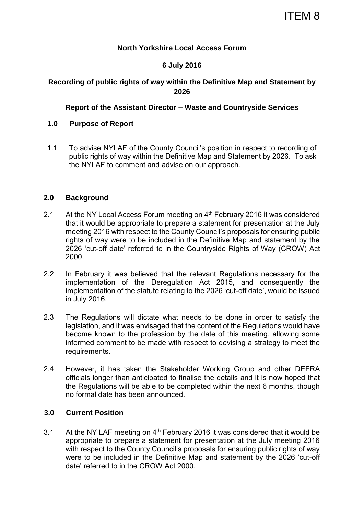## **North Yorkshire Local Access Forum**

## **6 July 2016**

# **Recording of public rights of way within the Definitive Map and Statement by 2026**

## **Report of the Assistant Director – Waste and Countryside Services**

## **1.0 Purpose of Report**

1.1 To advise NYLAF of the County Council's position in respect to recording of public rights of way within the Definitive Map and Statement by 2026. To ask the NYLAF to comment and advise on our approach.

#### **2.0 Background**

- 2.1 At the NY Local Access Forum meeting on 4<sup>th</sup> February 2016 it was considered that it would be appropriate to prepare a statement for presentation at the July meeting 2016 with respect to the County Council's proposals for ensuring public rights of way were to be included in the Definitive Map and statement by the 2026 'cut-off date' referred to in the Countryside Rights of Way (CROW) Act 2000.
- 2.2 In February it was believed that the relevant Regulations necessary for the implementation of the Deregulation Act 2015, and consequently the implementation of the statute relating to the 2026 'cut-off date', would be issued in July 2016.
- 2.3 The Regulations will dictate what needs to be done in order to satisfy the legislation, and it was envisaged that the content of the Regulations would have become known to the profession by the date of this meeting, allowing some informed comment to be made with respect to devising a strategy to meet the requirements.
- 2.4 However, it has taken the Stakeholder Working Group and other DEFRA officials longer than anticipated to finalise the details and it is now hoped that the Regulations will be able to be completed within the next 6 months, though no formal date has been announced.

## **3.0 Current Position**

3.1 At the NY LAF meeting on  $4<sup>th</sup>$  February 2016 it was considered that it would be appropriate to prepare a statement for presentation at the July meeting 2016 with respect to the County Council's proposals for ensuring public rights of way were to be included in the Definitive Map and statement by the 2026 'cut-off date' referred to in the CROW Act 2000.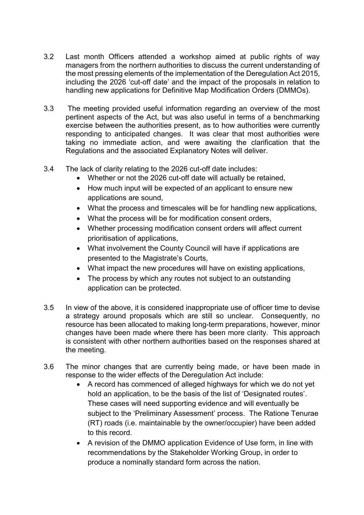- 3.2 Last month Officers attended a workshop aimed at public rights of way managers from the northern authorities to discuss the current understanding of the most pressing elements of the implementation of the Deregulation Act 2015, including the 2026 'cut-off date' and the impact of the proposals in relation to handling new applications for Definitive Map Modification Orders (DMMOs).
- 3.3 The meeting provided useful information regarding an overview of the most pertinent aspects of the Act, but was also useful in terms of a benchmarking exercise between the authorities present, as to how authorities were currently responding to anticipated changes. It was clear that most authorities were taking no immediate action, and were awaiting the clarification that the Regulations and the associated Explanatory Notes will deliver.
- 3.4 The lack of clarity relating to the 2026 cut-off date includes:
	- Whether or not the 2026 cut-off date will actually be retained,
	- How much input will be expected of an applicant to ensure new applications are sound,
	- What the process and timescales will be for handling new applications,
	- What the process will be for modification consent orders,
	- Whether processing modification consent orders will affect current prioritisation of applications,
	- What involvement the County Council will have if applications are presented to the Magistrate's Courts,
	- What impact the new procedures will have on existing applications,
	- The process by which any routes not subject to an outstanding application can be protected.
- 3.5 In view of the above, it is considered inappropriate use of officer time to devise a strategy around proposals which are still so unclear. Consequently, no resource has been allocated to making long-term preparations, however, minor changes have been made where there has been more clarity. This approach is consistent with other northern authorities based on the responses shared at the meeting.
- 3.6 The minor changes that are currently being made, or have been made in response to the wider effects of the Deregulation Act include:
	- A record has commenced of alleged highways for which we do not yet hold an application, to be the basis of the list of 'Designated routes'. These cases will need supporting evidence and will eventually be subject to the 'Preliminary Assessment' process. The Ratione Tenurae (RT) roads (i.e. maintainable by the owner/occupier) have been added to this record.
	- A revision of the DMMO application Evidence of Use form, in line with recommendations by the Stakeholder Working Group, in order to produce a nominally standard form across the nation.